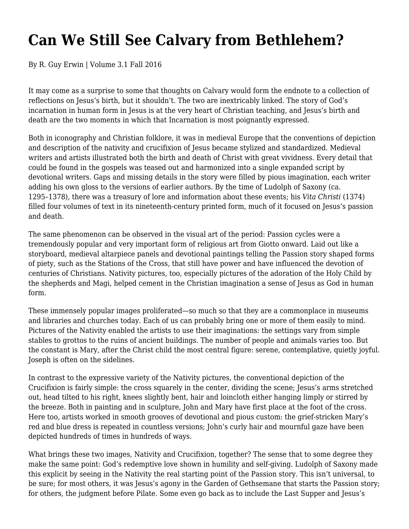## **Can We Still See Calvary from Bethlehem?**

By R. Guy Erwin | Volume 3.1 Fall 2016

It may come as a surprise to some that thoughts on Calvary would form the endnote to a collection of reflections on Jesus's birth, but it shouldn't. The two are inextricably linked. The story of God's incarnation in human form in Jesus is at the very heart of Christian teaching, and Jesus's birth and death are the two moments in which that Incarnation is most poignantly expressed.

Both in iconography and Christian folklore, it was in medieval Europe that the conventions of depiction and description of the nativity and crucifixion of Jesus became stylized and standardized. Medieval writers and artists illustrated both the birth and death of Christ with great vividness. Every detail that could be found in the gospels was teased out and harmonized into a single expanded script by devotional writers. Gaps and missing details in the story were filled by pious imagination, each writer adding his own gloss to the versions of earlier authors. By the time of Ludolph of Saxony (ca. 1295–1378), there was a treasury of lore and information about these events; his *Vita Christi* (1374) filled four volumes of text in its nineteenth-century printed form, much of it focused on Jesus's passion and death.

The same phenomenon can be observed in the visual art of the period: Passion cycles were a tremendously popular and very important form of religious art from Giotto onward. Laid out like a storyboard, medieval altarpiece panels and devotional paintings telling the Passion story shaped forms of piety, such as the Stations of the Cross, that still have power and have influenced the devotion of centuries of Christians. Nativity pictures, too, especially pictures of the adoration of the Holy Child by the shepherds and Magi, helped cement in the Christian imagination a sense of Jesus as God in human form.

These immensely popular images proliferated—so much so that they are a commonplace in museums and libraries and churches today. Each of us can probably bring one or more of them easily to mind. Pictures of the Nativity enabled the artists to use their imaginations: the settings vary from simple stables to grottos to the ruins of ancient buildings. The number of people and animals varies too. But the constant is Mary, after the Christ child the most central figure: serene, contemplative, quietly joyful. Joseph is often on the sidelines.

In contrast to the expressive variety of the Nativity pictures, the conventional depiction of the Crucifixion is fairly simple: the cross squarely in the center, dividing the scene; Jesus's arms stretched out, head tilted to his right, knees slightly bent, hair and loincloth either hanging limply or stirred by the breeze. Both in painting and in sculpture, John and Mary have first place at the foot of the cross. Here too, artists worked in smooth grooves of devotional and pious custom: the grief-stricken Mary's red and blue dress is repeated in countless versions; John's curly hair and mournful gaze have been depicted hundreds of times in hundreds of ways.

What brings these two images, Nativity and Crucifixion, together? The sense that to some degree they make the same point: God's redemptive love shown in humility and self-giving. Ludolph of Saxony made this explicit by seeing in the Nativity the real starting point of the Passion story. This isn't universal, to be sure; for most others, it was Jesus's agony in the Garden of Gethsemane that starts the Passion story; for others, the judgment before Pilate. Some even go back as to include the Last Supper and Jesus's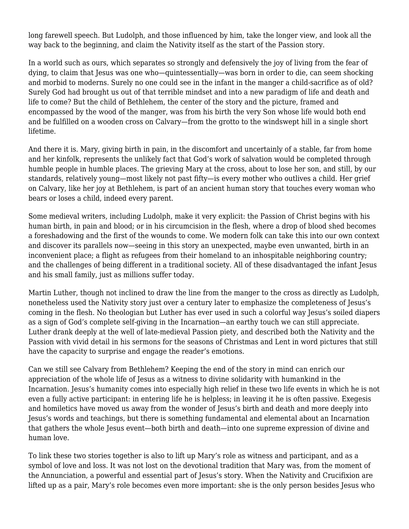long farewell speech. But Ludolph, and those influenced by him, take the longer view, and look all the way back to the beginning, and claim the Nativity itself as the start of the Passion story.

In a world such as ours, which separates so strongly and defensively the joy of living from the fear of dying, to claim that Jesus was one who—quintessentially—was born in order to die, can seem shocking and morbid to moderns. Surely no one could see in the infant in the manger a child-sacrifice as of old? Surely God had brought us out of that terrible mindset and into a new paradigm of life and death and life to come? But the child of Bethlehem, the center of the story and the picture, framed and encompassed by the wood of the manger, was from his birth the very Son whose life would both end and be fulfilled on a wooden cross on Calvary—from the grotto to the windswept hill in a single short lifetime.

And there it is. Mary, giving birth in pain, in the discomfort and uncertainly of a stable, far from home and her kinfolk, represents the unlikely fact that God's work of salvation would be completed through humble people in humble places. The grieving Mary at the cross, about to lose her son, and still, by our standards, relatively young—most likely not past fifty—is every mother who outlives a child. Her grief on Calvary, like her joy at Bethlehem, is part of an ancient human story that touches every woman who bears or loses a child, indeed every parent.

Some medieval writers, including Ludolph, make it very explicit: the Passion of Christ begins with his human birth, in pain and blood; or in his circumcision in the flesh, where a drop of blood shed becomes a foreshadowing and the first of the wounds to come. We modern folk can take this into our own context and discover its parallels now—seeing in this story an unexpected, maybe even unwanted, birth in an inconvenient place; a flight as refugees from their homeland to an inhospitable neighboring country; and the challenges of being different in a traditional society. All of these disadvantaged the infant Jesus and his small family, just as millions suffer today.

Martin Luther, though not inclined to draw the line from the manger to the cross as directly as Ludolph, nonetheless used the Nativity story just over a century later to emphasize the completeness of Jesus's coming in the flesh. No theologian but Luther has ever used in such a colorful way Jesus's soiled diapers as a sign of God's complete self-giving in the Incarnation—an earthy touch we can still appreciate. Luther drank deeply at the well of late-medieval Passion piety, and described both the Nativity and the Passion with vivid detail in his sermons for the seasons of Christmas and Lent in word pictures that still have the capacity to surprise and engage the reader's emotions.

Can we still see Calvary from Bethlehem? Keeping the end of the story in mind can enrich our appreciation of the whole life of Jesus as a witness to divine solidarity with humankind in the Incarnation. Jesus's humanity comes into especially high relief in these two life events in which he is not even a fully active participant: in entering life he is helpless; in leaving it he is often passive. Exegesis and homiletics have moved us away from the wonder of Jesus's birth and death and more deeply into Jesus's words and teachings, but there is something fundamental and elemental about an Incarnation that gathers the whole Jesus event—both birth and death—into one supreme expression of divine and human love.

To link these two stories together is also to lift up Mary's role as witness and participant, and as a symbol of love and loss. It was not lost on the devotional tradition that Mary was, from the moment of the Annunciation, a powerful and essential part of Jesus's story. When the Nativity and Crucifixion are lifted up as a pair, Mary's role becomes even more important: she is the only person besides Jesus who